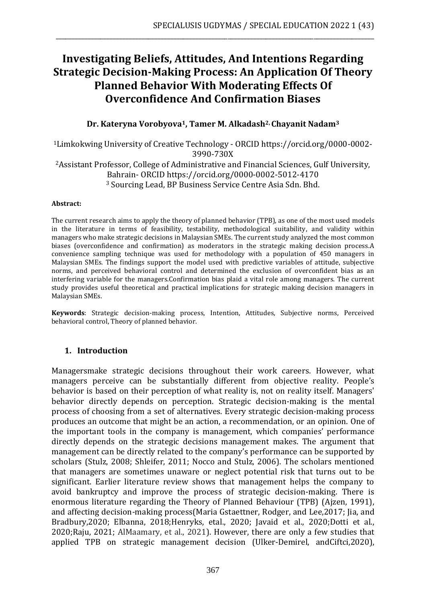# **Investigating Beliefs, Attitudes, And Intentions Regarding Strategic Decision-Making Process: An Application Of Theory Planned Behavior With Moderating Effects Of Overconfidence And Confirmation Biases**

\_\_\_\_\_\_\_\_\_\_\_\_\_\_\_\_\_\_\_\_\_\_\_\_\_\_\_\_\_\_\_\_\_\_\_\_\_\_\_\_\_\_\_\_\_\_\_\_\_\_\_\_\_\_\_\_\_\_\_\_\_\_\_\_\_\_\_\_\_\_\_\_\_\_\_\_\_\_\_\_\_\_\_\_\_\_\_\_\_\_\_\_\_\_\_\_\_\_\_\_

#### **Dr. Kateryna Vorobyova1, Tamer M. Alkadash2, Chayanit Nadam<sup>3</sup>**

<sup>1</sup>Limkokwing University of Creative Technology - ORCID https://orcid.org/0000-0002- 3990-730X <sup>2</sup>Assistant Professor, College of Administrative and Financial Sciences, Gulf University, Bahrain- ORCID<https://orcid.org/0000-0002-5012-4170> <sup>3</sup> Sourcing Lead, BP Business Service Centre Asia Sdn. Bhd.

#### **Abstract:**

The current research aims to apply the theory of planned behavior (TPB), as one of the most used models in the literature in terms of feasibility, testability, methodological suitability, and validity within managers who make strategic decisions in Malaysian SMEs. The current study analyzed the most common biases (overconfidence and confirmation) as moderators in the strategic making decision process.A convenience sampling technique was used for methodology with a population of 450 managers in Malaysian SMEs. The findings support the model used with predictive variables of attitude, subjective norms, and perceived behavioral control and determined the exclusion of overconfident bias as an interfering variable for the managers.Confirmation bias plaid a vital role among managers. The current study provides useful theoretical and practical implications for strategic making decision managers in Malaysian SMEs.

**Keywords**: Strategic decision-making process, Intention, Attitudes, Subjective norms, Perceived behavioral control, Theory of planned behavior.

#### **1. Introduction**

Managersmake strategic decisions throughout their work careers. However, what managers perceive can be substantially different from objective reality. People's behavior is based on their perception of what reality is, not on reality itself. Managers' behavior directly depends on perception. Strategic decision-making is the mental process of choosing from a set of alternatives. Every strategic decision-making process produces an outcome that might be an action, a recommendation, or an opinion. One of the important tools in the company is management, which companies' performance directly depends on the strategic decisions management makes. The argument that management can be directly related to the company's performance can be supported by scholars (Stulz, 2008; Shleifer, 2011; Nocco and Stulz, 2006). The scholars mentioned that managers are sometimes unaware or neglect potential risk that turns out to be significant. Earlier literature review shows that management helps the company to avoid bankruptcy and improve the process of strategic decision-making. There is enormous literature regarding the Theory of Planned Behaviour (TPB) (Ajzen, 1991), and affecting decision-making process(Maria Gstaettner, Rodger, and Lee,2017; Jia, and Bradbury,2020; Elbanna, 2018;Henryks, etal., 2020; Javaid et al., 2020;Dotti et al., 2020;Raju, 2021; AlMaamary, et al., 2021). However, there are only a few studies that applied TPB on strategic management decision (Ulker-Demirel, andCiftci,2020),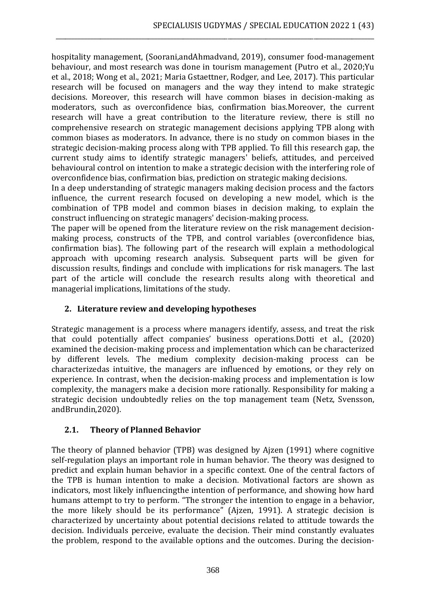hospitality management, (Soorani,andAhmadvand, 2019), consumer food-management behaviour, and most research was done in tourism management (Putro et al., 2020;Yu et al., 2018; Wong et al., 2021; Maria Gstaettner, Rodger, and Lee, 2017). This particular research will be focused on managers and the way they intend to make strategic decisions. Moreover, this research will have common biases in decision-making as moderators, such as overconfidence bias, confirmation bias.Moreover, the current research will have a great contribution to the literature review, there is still no comprehensive research on strategic management decisions applying TPB along with common biases as moderators. In advance, there is no study on common biases in the strategic decision-making process along with TPB applied. To fill this research gap, the current study aims to identify strategic managers' beliefs, attitudes, and perceived behavioural control on intention to make a strategic decision with the interfering role of overconfidence bias, confirmation bias, prediction on strategic making decisions.

\_\_\_\_\_\_\_\_\_\_\_\_\_\_\_\_\_\_\_\_\_\_\_\_\_\_\_\_\_\_\_\_\_\_\_\_\_\_\_\_\_\_\_\_\_\_\_\_\_\_\_\_\_\_\_\_\_\_\_\_\_\_\_\_\_\_\_\_\_\_\_\_\_\_\_\_\_\_\_\_\_\_\_\_\_\_\_\_\_\_\_\_\_\_\_\_\_\_\_\_

In a deep understanding of strategic managers making decision process and the factors influence, the current research focused on developing a new model, which is the combination of TPB model and common biases in decision making, to explain the construct influencing on strategic managers' decision-making process.

The paper will be opened from the literature review on the risk management decisionmaking process, constructs of the TPB, and control variables (overconfidence bias, confirmation bias). The following part of the research will explain a methodological approach with upcoming research analysis. Subsequent parts will be given for discussion results, findings and conclude with implications for risk managers. The last part of the article will conclude the research results along with theoretical and managerial implications, limitations of the study.

# **2. Literature review and developing hypotheses**

Strategic management is a process where managers identify, assess, and treat the risk that could potentially affect companies' business operations.Dotti et al., (2020) examined the decision-making process and implementation which can be characterized by different levels. The medium complexity decision-making process can be characterizedas intuitive, the managers are influenced by emotions, or they rely on experience. In contrast, when the decision-making process and implementation is low complexity, the managers make a decision more rationally. Responsibility for making a strategic decision undoubtedly relies on the top management team (Netz, Svensson, andBrundin,2020).

#### **2.1. Theory of Planned Behavior**

The theory of planned behavior (TPB) was designed by Ajzen (1991) where cognitive self-regulation plays an important role in human behavior. The theory was designed to predict and explain human behavior in a specific context. One of the central factors of the TPB is human intention to make a decision. Motivational factors are shown as indicators, most likely influencingthe intention of performance, and showing how hard humans attempt to try to perform. "The stronger the intention to engage in a behavior, the more likely should be its performance" (Ajzen, 1991). A strategic decision is characterized by uncertainty about potential decisions related to attitude towards the decision. Individuals perceive, evaluate the decision. Their mind constantly evaluates the problem, respond to the available options and the outcomes. During the decision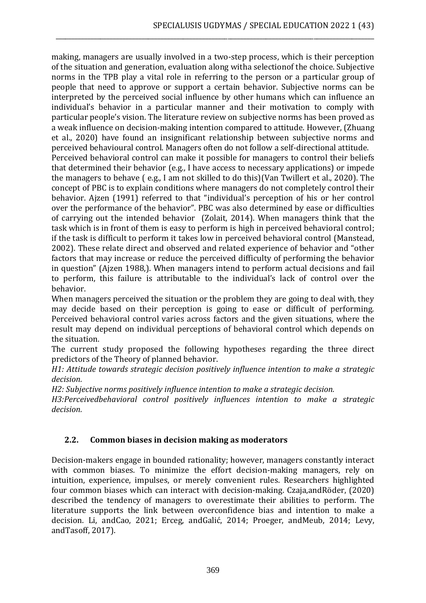making, managers are usually involved in a two-step process, which is their perception of the situation and generation, evaluation along witha selectionof the choice. Subjective norms in the TPB play a vital role in referring to the person or a particular group of people that need to approve or support a certain behavior. Subjective norms can be interpreted by the perceived social influence by other humans which can influence an individual's behavior in a particular manner and their motivation to comply with particular people's vision. The literature review on subjective norms has been proved as a weak influence on decision-making intention compared to attitude. However, (Zhuang et al., 2020) have found an insignificant relationship between subjective norms and perceived behavioural control. Managers often do not follow a self-directional attitude.

\_\_\_\_\_\_\_\_\_\_\_\_\_\_\_\_\_\_\_\_\_\_\_\_\_\_\_\_\_\_\_\_\_\_\_\_\_\_\_\_\_\_\_\_\_\_\_\_\_\_\_\_\_\_\_\_\_\_\_\_\_\_\_\_\_\_\_\_\_\_\_\_\_\_\_\_\_\_\_\_\_\_\_\_\_\_\_\_\_\_\_\_\_\_\_\_\_\_\_\_

Perceived behavioral control can make it possible for managers to control their beliefs that determined their behavior (e.g., I have access to necessary applications) or impede the managers to behave ( e.g., I am not skilled to do this)(Van Twillert et al., 2020). The concept of PBC is to explain conditions where managers do not completely control their behavior. Ajzen (1991) referred to that "individual's perception of his or her control over the performance of the behavior". PBC was also determined by ease or difficulties of carrying out the intended behavior (Zolait, 2014). When managers think that the task which is in front of them is easy to perform is high in perceived behavioral control; if the task is difficult to perform it takes low in perceived behavioral control (Manstead, 2002). These relate direct and observed and related experience of behavior and "other factors that may increase or reduce the perceived difficulty of performing the behavior in question" (Ajzen 1988,). When managers intend to perform actual decisions and fail to perform, this failure is attributable to the individual's lack of control over the behavior.

When managers perceived the situation or the problem they are going to deal with, they may decide based on their perception is going to ease or difficult of performing. Perceived behavioral control varies across factors and the given situations, where the result may depend on individual perceptions of behavioral control which depends on the situation.

The current study proposed the following hypotheses regarding the three direct predictors of the Theory of planned behavior.

*H1: Attitude towards strategic decision positively influence intention to make a strategic decision.*

*H2: Subjective norms positively influence intention to make a strategic decision.*

*H3:Perceivedbehavioral control positively influences intention to make a strategic decision.*

# **2.2. Common biases in decision making as moderators**

Decision-makers engage in bounded rationality; however, managers constantly interact with common biases. To minimize the effort decision-making managers, rely on intuition, experience, impulses, or merely convenient rules. Researchers highlighted four common biases which can interact with decision-making. Czaja,andRöder, (2020) described the tendency of managers to overestimate their abilities to perform. The literature supports the link between overconfidence bias and intention to make a decision. Li, andCao, 2021; Erceg, andGalić, 2014; Proeger, andMeub, 2014; Levy, andTasoff, 2017).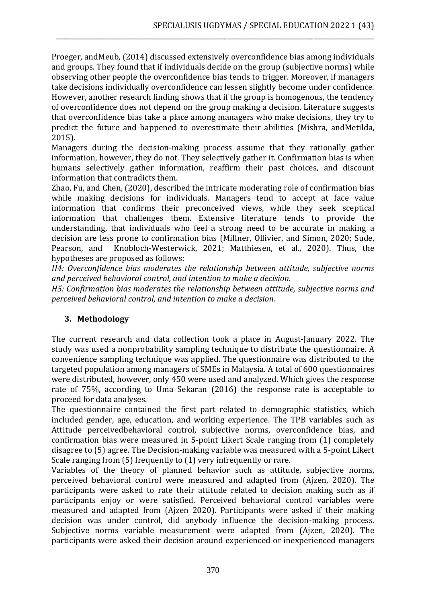Proeger, andMeub, (2014) discussed extensively overconfidence bias among individuals and groups. They found that if individuals decide on the group (subjective norms) while observing other people the overconfidence bias tends to trigger. Moreover, if managers take decisions individually overconfidence can lessen slightly become under confidence. However, another research finding shows that if the group is homogenous, the tendency of overconfidence does not depend on the group making a decision. Literature suggests that overconfidence bias take a place among managers who make decisions, they try to predict the future and happened to overestimate their abilities (Mishra, andMetilda, 2015).

\_\_\_\_\_\_\_\_\_\_\_\_\_\_\_\_\_\_\_\_\_\_\_\_\_\_\_\_\_\_\_\_\_\_\_\_\_\_\_\_\_\_\_\_\_\_\_\_\_\_\_\_\_\_\_\_\_\_\_\_\_\_\_\_\_\_\_\_\_\_\_\_\_\_\_\_\_\_\_\_\_\_\_\_\_\_\_\_\_\_\_\_\_\_\_\_\_\_\_\_

Managers during the decision-making process assume that they rationally gather information, however, they do not. They selectively gather it. Confirmation bias is when humans selectively gather information, reaffirm their past choices, and discount information that contradicts them.

Zhao, Fu, and Chen, (2020), described the intricate moderating role of confirmation bias while making decisions for individuals. Managers tend to accept at face value information that confirms their preconceived views, while they seek sceptical information that challenges them. Extensive literature tends to provide the understanding, that individuals who feel a strong need to be accurate in making a decision are less prone to confirmation bias (Millner, Ollivier, and Simon, 2020; Sude, Pearson, and Knobloch-Westerwick, 2021; Matthiesen, et al., 2020). Thus, the hypotheses are proposed as follows:

*H4: Overconfidence bias moderates the relationship between attitude, subjective norms and perceived behavioral control, and intention to make a decision.*

*H5: Confirmation bias moderates the relationship between attitude, subjective norms and perceived behavioral control, and intention to make a decision.*

# **3. Methodology**

The current research and data collection took a place in August-January 2022. The study was used a nonprobability sampling technique to distribute the questionnaire. A convenience sampling technique was applied. The questionnaire was distributed to the targeted population among managers of SMEs in Malaysia. A total of 600 questionnaires were distributed, however, only 450 were used and analyzed. Which gives the response rate of 75%, according to Uma Sekaran (2016) the response rate is acceptable to proceed for data analyses.

The questionnaire contained the first part related to demographic statistics, which included gender, age, education, and working experience. The TPB variables such as Attitude perceivedbehavioral control, subjective norms, overconfidence bias, and confirmation bias were measured in 5-point Likert Scale ranging from (1) completely disagree to (5) agree. The Decision-making variable was measured with a 5-point Likert Scale ranging from (5) frequently to (1) very infrequently or rare.

Variables of the theory of planned behavior such as attitude, subjective norms, perceived behavioral control were measured and adapted from (Ajzen, 2020). The participants were asked to rate their attitude related to decision making such as if participants enjoy or were satisfied. Perceived behavioral control variables were measured and adapted from (Ajzen 2020). Participants were asked if their making decision was under control, did anybody influence the decision-making process. Subjective norms variable measurement were adapted from (Ajzen, 2020). The participants were asked their decision around experienced or inexperienced managers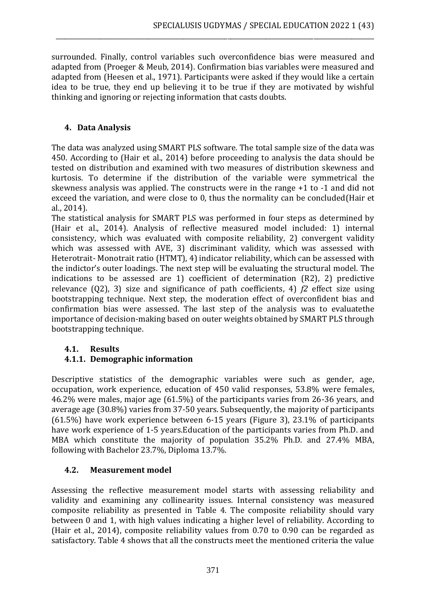surrounded. Finally, control variables such overconfidence bias were measured and adapted from (Proeger & Meub, 2014). Confirmation bias variables were measured and adapted from (Heesen et al., 1971). Participants were asked if they would like a certain idea to be true, they end up believing it to be true if they are motivated by wishful thinking and ignoring or rejecting information that casts doubts.

\_\_\_\_\_\_\_\_\_\_\_\_\_\_\_\_\_\_\_\_\_\_\_\_\_\_\_\_\_\_\_\_\_\_\_\_\_\_\_\_\_\_\_\_\_\_\_\_\_\_\_\_\_\_\_\_\_\_\_\_\_\_\_\_\_\_\_\_\_\_\_\_\_\_\_\_\_\_\_\_\_\_\_\_\_\_\_\_\_\_\_\_\_\_\_\_\_\_\_\_

#### **4. Data Analysis**

The data was analyzed using SMART PLS software. The total sample size of the data was 450. According to (Hair et al., 2014) before proceeding to analysis the data should be tested on distribution and examined with two measures of distribution skewness and kurtosis. To determine if the distribution of the variable were symmetrical the skewness analysis was applied. The constructs were in the range +1 to -1 and did not exceed the variation, and were close to 0, thus the normality can be concluded(Hair et al., 2014).

The statistical analysis for SMART PLS was performed in four steps as determined by (Hair et al., 2014). Analysis of reflective measured model included: 1) internal consistency, which was evaluated with composite reliability, 2) convergent validity which was assessed with AVE, 3) discriminant validity, which was assessed with Heterotrait- Monotrait ratio (HTMT), 4) indicator reliability, which can be assessed with the indictor's outer loadings. The next step will be evaluating the structural model. The indications to be assessed are 1) coefficient of determination (R2), 2) predictive relevance (Q2), 3) size and significance of path coefficients, 4) *f2* effect size using bootstrapping technique. Next step, the moderation effect of overconfident bias and confirmation bias were assessed. The last step of the analysis was to evaluatethe importance of decision-making based on outer weights obtained by SMART PLS through bootstrapping technique.

# **4.1. Results**

# **4.1.1. Demographic information**

Descriptive statistics of the demographic variables were such as gender, age, occupation, work experience, education of 450 valid responses, 53.8% were females, 46.2% were males, major age (61.5%) of the participants varies from 26-36 years, and average age (30.8%) varies from 37-50 years. Subsequently, the majority of participants (61.5%) have work experience between 6-15 years (Figure 3), 23.1% of participants have work experience of 1-5 years.Education of the participants varies from Ph.D. and MBA which constitute the majority of population 35.2% Ph.D. and 27.4% MBA, following with Bachelor 23.7%, Diploma 13.7%.

# **4.2. Measurement model**

Assessing the reflective measurement model starts with assessing reliability and validity and examining any collinearity issues. Internal consistency was measured composite reliability as presented in Table 4. The composite reliability should vary between 0 and 1, with high values indicating a higher level of reliability. According to (Hair et al., 2014), composite reliability values from 0.70 to 0.90 can be regarded as satisfactory. Table 4 shows that all the constructs meet the mentioned criteria the value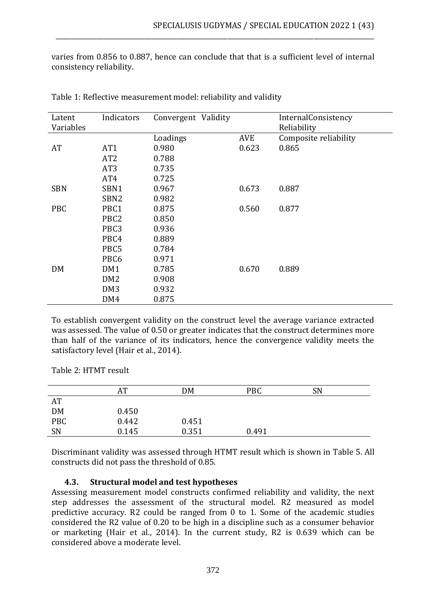varies from 0.856 to 0.887, hence can conclude that that is a sufficient level of internal consistency reliability.

\_\_\_\_\_\_\_\_\_\_\_\_\_\_\_\_\_\_\_\_\_\_\_\_\_\_\_\_\_\_\_\_\_\_\_\_\_\_\_\_\_\_\_\_\_\_\_\_\_\_\_\_\_\_\_\_\_\_\_\_\_\_\_\_\_\_\_\_\_\_\_\_\_\_\_\_\_\_\_\_\_\_\_\_\_\_\_\_\_\_\_\_\_\_\_\_\_\_\_\_

| Latent     | Indicators       | Convergent Validity |            | InternalConsistency   |
|------------|------------------|---------------------|------------|-----------------------|
| Variables  |                  |                     |            | Reliability           |
|            |                  | Loadings            | <b>AVE</b> | Composite reliability |
| AT         | AT <sub>1</sub>  | 0.980               | 0.623      | 0.865                 |
|            | AT <sub>2</sub>  | 0.788               |            |                       |
|            | AT <sub>3</sub>  | 0.735               |            |                       |
|            | AT4              | 0.725               |            |                       |
| <b>SBN</b> | SBN1             | 0.967               | 0.673      | 0.887                 |
|            | SBN <sub>2</sub> | 0.982               |            |                       |
| <b>PBC</b> | PBC1             | 0.875               | 0.560      | 0.877                 |
|            | PBC <sub>2</sub> | 0.850               |            |                       |
|            | PBC <sub>3</sub> | 0.936               |            |                       |
|            | PBC4             | 0.889               |            |                       |
|            | PBC5             | 0.784               |            |                       |
|            | PBC <sub>6</sub> | 0.971               |            |                       |
| DM         | DM1              | 0.785               | 0.670      | 0.889                 |
|            | DM <sub>2</sub>  | 0.908               |            |                       |
|            | DM <sub>3</sub>  | 0.932               |            |                       |
|            | DM4              | 0.875               |            |                       |

Table 1: Reflective measurement model: reliability and validity

To establish convergent validity on the construct level the average variance extracted was assessed. The value of 0.50 or greater indicates that the construct determines more than half of the variance of its indicators, hence the convergence validity meets the satisfactory level (Hair et al., 2014).

Table 2: HTMT result

|           | AT    | DM    | <b>PBC</b> | <b>SN</b> |  |
|-----------|-------|-------|------------|-----------|--|
| AT        |       |       |            |           |  |
| DM<br>PBC | 0.450 |       |            |           |  |
|           | 0.442 | 0.451 |            |           |  |
| SN        | 0.145 | 0.351 | 0.491      |           |  |

Discriminant validity was assessed through HTMT result which is shown in Table 5. All constructs did not pass the threshold of 0.85.

#### **4.3. Structural model and test hypotheses**

Assessing measurement model constructs confirmed reliability and validity, the next step addresses the assessment of the structural model. R2 measured as model predictive accuracy. R2 could be ranged from 0 to 1. Some of the academic studies considered the R2 value of 0.20 to be high in a discipline such as a consumer behavior or marketing (Hair et al., 2014). In the current study, R2 is 0.639 which can be considered above a moderate level.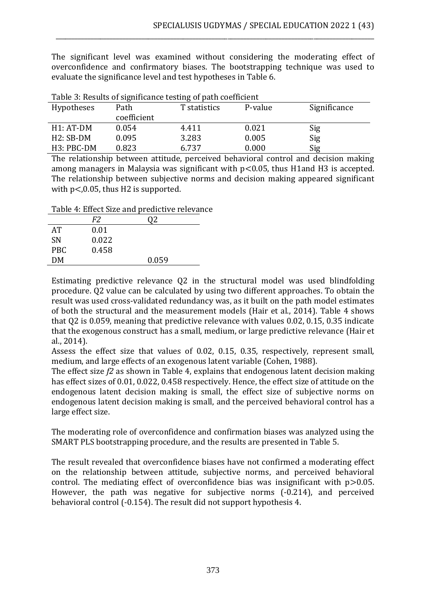The significant level was examined without considering the moderating effect of overconfidence and confirmatory biases. The bootstrapping technique was used to evaluate the significance level and test hypotheses in Table 6.

\_\_\_\_\_\_\_\_\_\_\_\_\_\_\_\_\_\_\_\_\_\_\_\_\_\_\_\_\_\_\_\_\_\_\_\_\_\_\_\_\_\_\_\_\_\_\_\_\_\_\_\_\_\_\_\_\_\_\_\_\_\_\_\_\_\_\_\_\_\_\_\_\_\_\_\_\_\_\_\_\_\_\_\_\_\_\_\_\_\_\_\_\_\_\_\_\_\_\_\_

| <b>Hypotheses</b>       | Path        | T statistics | P-value | Significance |
|-------------------------|-------------|--------------|---------|--------------|
|                         | coefficient |              |         |              |
| $H1:AT-DM$              | 0.054       | 4.411        | 0.021   | Sig          |
| $H2:SB-DM$              | 0.095       | 3.283        | 0.005   | Sig          |
| H <sub>3</sub> : PBC-DM | 0.823       | 6.737        | 0.000   | Sig          |

Table 3: Results of significance testing of path coefficient

The relationship between attitude, perceived behavioral control and decision making among managers in Malaysia was significant with p<0.05, thus H1and H3 is accepted. The relationship between subjective norms and decision making appeared significant with  $p < 0.05$ , thus H2 is supported.

Table 4: Effect Size and predictive relevance

|            | F2    |       |  |
|------------|-------|-------|--|
| AT         | 0.01  |       |  |
| <b>SN</b>  | 0.022 |       |  |
| <b>PBC</b> | 0.458 |       |  |
| DM         |       | 0.059 |  |
|            |       |       |  |

Estimating predictive relevance Q2 in the structural model was used blindfolding procedure. Q2 value can be calculated by using two different approaches. To obtain the result was used cross-validated redundancy was, as it built on the path model estimates of both the structural and the measurement models (Hair et al., 2014). Table 4 shows that Q2 is 0.059, meaning that predictive relevance with values 0.02, 0.15, 0.35 indicate that the exogenous construct has a small, medium, or large predictive relevance (Hair et al., 2014).

Assess the effect size that values of 0.02, 0.15, 0.35, respectively, represent small, medium, and large effects of an exogenous latent variable (Cohen, 1988).

The effect size *f2* as shown in Table 4, explains that endogenous latent decision making has effect sizes of 0.01, 0.022, 0.458 respectively. Hence, the effect size of attitude on the endogenous latent decision making is small, the effect size of subjective norms on endogenous latent decision making is small, and the perceived behavioral control has a large effect size.

The moderating role of overconfidence and confirmation biases was analyzed using the SMART PLS bootstrapping procedure, and the results are presented in Table 5.

The result revealed that overconfidence biases have not confirmed a moderating effect on the relationship between attitude, subjective norms, and perceived behavioral control. The mediating effect of overconfidence bias was insignificant with  $p > 0.05$ . However, the path was negative for subjective norms (-0.214), and perceived behavioral control (-0.154). The result did not support hypothesis 4.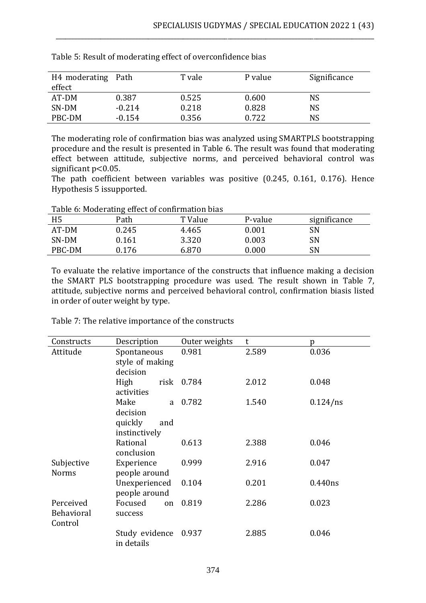| H4 moderating Path<br>effect |          | T vale | P value | Significance |
|------------------------------|----------|--------|---------|--------------|
| AT-DM                        | 0.387    | 0.525  | 0.600   | NS           |
| SN-DM                        | $-0.214$ | 0.218  | 0.828   | NS           |
| PBC-DM                       | $-0.154$ | 0.356  | 0.722   | NS           |

\_\_\_\_\_\_\_\_\_\_\_\_\_\_\_\_\_\_\_\_\_\_\_\_\_\_\_\_\_\_\_\_\_\_\_\_\_\_\_\_\_\_\_\_\_\_\_\_\_\_\_\_\_\_\_\_\_\_\_\_\_\_\_\_\_\_\_\_\_\_\_\_\_\_\_\_\_\_\_\_\_\_\_\_\_\_\_\_\_\_\_\_\_\_\_\_\_\_\_\_

Table 5: Result of moderating effect of overconfidence bias

The moderating role of confirmation bias was analyzed using SMARTPLS bootstrapping procedure and the result is presented in Table 6. The result was found that moderating effect between attitude, subjective norms, and perceived behavioral control was significant p<0.05.

The path coefficient between variables was positive (0.245, 0.161, 0.176). Hence Hypothesis 5 issupported.

| Table 6: Moderating effect of confirmation bias |  |
|-------------------------------------------------|--|
|-------------------------------------------------|--|

| H <sub>5</sub> | Path  | T Value | P-value | significance |
|----------------|-------|---------|---------|--------------|
| AT-DM          | 0.245 | 4.465   | 0.001   | SN           |
| SN-DM          | 0.161 | 3.320   | 0.003   | SN           |
| PBC-DM         | 0.176 | 6.870   | 0.000   | SN           |

To evaluate the relative importance of the constructs that influence making a decision the SMART PLS bootstrapping procedure was used. The result shown in Table 7, attitude, subjective norms and perceived behavioral control, confirmation biasis listed in order of outer weight by type.

| Constructs               | Description     | Outer weights | t     | Ŋ           |
|--------------------------|-----------------|---------------|-------|-------------|
| Attitude                 | Spontaneous     | 0.981         | 2.589 | 0.036       |
|                          | style of making |               |       |             |
|                          | decision        |               |       |             |
|                          | High<br>risk    | 0.784         | 2.012 | 0.048       |
|                          | activities      |               |       |             |
|                          | Make<br>a       | 0.782         | 1.540 | $0.124$ /ns |
|                          | decision        |               |       |             |
|                          | quickly<br>and  |               |       |             |
|                          | instinctively   |               |       |             |
|                          | Rational        | 0.613         | 2.388 | 0.046       |
|                          | conclusion      |               |       |             |
| Subjective<br>Experience |                 | 0.999         | 2.916 | 0.047       |
| <b>Norms</b>             | people around   |               |       |             |
|                          | Unexperienced   | 0.104         | 0.201 | 0.440ns     |
|                          | people around   |               |       |             |
| Perceived                | Focused<br>on   | 0.819         | 2.286 | 0.023       |
| Behavioral               | success         |               |       |             |
| Control                  |                 |               |       |             |
|                          | Study evidence  | 0.937         | 2.885 | 0.046       |
|                          | in details      |               |       |             |

Table 7: The relative importance of the constructs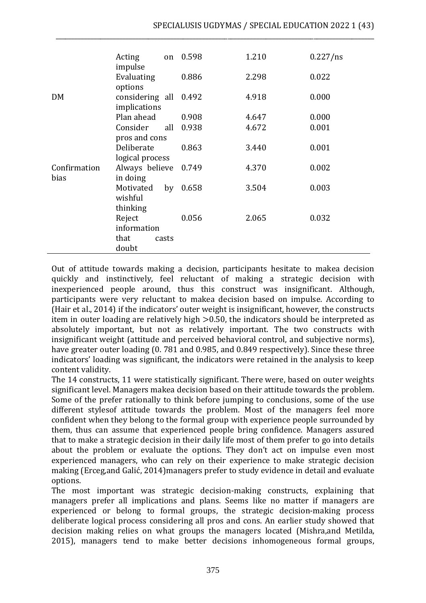|                      | Acting<br>impulse                     | on    | 0.598 | 1.210 | $0.227$ /ns |
|----------------------|---------------------------------------|-------|-------|-------|-------------|
|                      | Evaluating<br>options                 |       | 0.886 | 2.298 | 0.022       |
| DM                   | considering all 0.492<br>implications |       |       | 4.918 | 0.000       |
|                      | Plan ahead                            |       | 0.908 | 4.647 | 0.000       |
|                      | Consider                              | all   | 0.938 | 4.672 | 0.001       |
|                      | pros and cons                         |       |       |       |             |
|                      | Deliberate                            |       | 0.863 | 3.440 | 0.001       |
|                      | logical process                       |       |       |       |             |
| Confirmation<br>bias | Always believe<br>in doing            |       | 0.749 | 4.370 | 0.002       |
|                      | Motivated<br>wishful                  | by    | 0.658 | 3.504 | 0.003       |
|                      | thinking                              |       |       |       |             |
|                      | Reject                                |       | 0.056 | 2.065 | 0.032       |
|                      | information                           |       |       |       |             |
|                      | that                                  | casts |       |       |             |
|                      | doubt                                 |       |       |       |             |

\_\_\_\_\_\_\_\_\_\_\_\_\_\_\_\_\_\_\_\_\_\_\_\_\_\_\_\_\_\_\_\_\_\_\_\_\_\_\_\_\_\_\_\_\_\_\_\_\_\_\_\_\_\_\_\_\_\_\_\_\_\_\_\_\_\_\_\_\_\_\_\_\_\_\_\_\_\_\_\_\_\_\_\_\_\_\_\_\_\_\_\_\_\_\_\_\_\_\_\_

Out of attitude towards making a decision, participants hesitate to makea decision quickly and instinctively, feel reluctant of making a strategic decision with inexperienced people around, thus this construct was insignificant. Although, participants were very reluctant to makea decision based on impulse. According to (Hair et al., 2014) if the indicators' outer weight is insignificant, however, the constructs item in outer loading are relatively high >0.50, the indicators should be interpreted as absolutely important, but not as relatively important. The two constructs with insignificant weight (attitude and perceived behavioral control, and subjective norms), have greater outer loading (0. 781 and 0.985, and 0.849 respectively). Since these three indicators' loading was significant, the indicators were retained in the analysis to keep content validity.

The 14 constructs, 11 were statistically significant. There were, based on outer weights significant level. Managers makea decision based on their attitude towards the problem. Some of the prefer rationally to think before jumping to conclusions, some of the use different stylesof attitude towards the problem. Most of the managers feel more confident when they belong to the formal group with experience people surrounded by them, thus can assume that experienced people bring confidence. Managers assured that to make a strategic decision in their daily life most of them prefer to go into details about the problem or evaluate the options. They don't act on impulse even most experienced managers, who can rely on their experience to make strategic decision making (Erceg,and Galić, 2014)managers prefer to study evidence in detail and evaluate options.

The most important was strategic decision-making constructs, explaining that managers prefer all implications and plans. Seems like no matter if managers are experienced or belong to formal groups, the strategic decision-making process deliberate logical process considering all pros and cons. An earlier study showed that decision making relies on what groups the managers located (Mishra,and Metilda, 2015), managers tend to make better decisions inhomogeneous formal groups,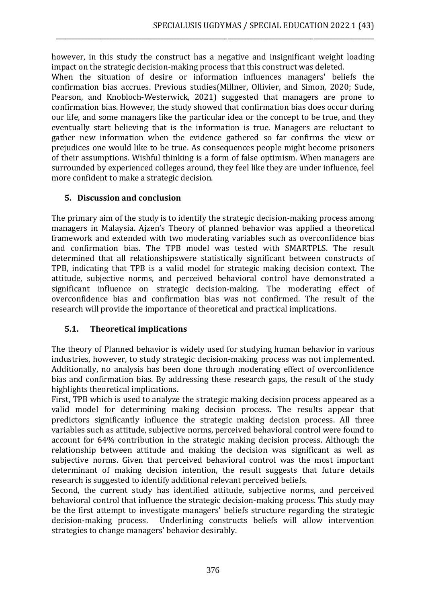however, in this study the construct has a negative and insignificant weight loading impact on the strategic decision-making process that this construct was deleted.

\_\_\_\_\_\_\_\_\_\_\_\_\_\_\_\_\_\_\_\_\_\_\_\_\_\_\_\_\_\_\_\_\_\_\_\_\_\_\_\_\_\_\_\_\_\_\_\_\_\_\_\_\_\_\_\_\_\_\_\_\_\_\_\_\_\_\_\_\_\_\_\_\_\_\_\_\_\_\_\_\_\_\_\_\_\_\_\_\_\_\_\_\_\_\_\_\_\_\_\_

When the situation of desire or information influences managers' beliefs the confirmation bias accrues. Previous studies(Millner, Ollivier, and Simon, 2020; Sude, Pearson, and Knobloch-Westerwick, 2021) suggested that managers are prone to confirmation bias. However, the study showed that confirmation bias does occur during our life, and some managers like the particular idea or the concept to be true, and they eventually start believing that is the information is true. Managers are reluctant to gather new information when the evidence gathered so far confirms the view or prejudices one would like to be true. As consequences people might become prisoners of their assumptions. Wishful thinking is a form of false optimism. When managers are surrounded by experienced colleges around, they feel like they are under influence, feel more confident to make a strategic decision.

#### **5. Discussion and conclusion**

The primary aim of the study is to identify the strategic decision-making process among managers in Malaysia. Ajzen's Theory of planned behavior was applied a theoretical framework and extended with two moderating variables such as overconfidence bias and confirmation bias. The TPB model was tested with SMARTPLS. The result determined that all relationshipswere statistically significant between constructs of TPB, indicating that TPB is a valid model for strategic making decision context. The attitude, subjective norms, and perceived behavioral control have demonstrated a significant influence on strategic decision-making. The moderating effect of overconfidence bias and confirmation bias was not confirmed. The result of the research will provide the importance of theoretical and practical implications.

# **5.1. Theoretical implications**

The theory of Planned behavior is widely used for studying human behavior in various industries, however, to study strategic decision-making process was not implemented. Additionally, no analysis has been done through moderating effect of overconfidence bias and confirmation bias. By addressing these research gaps, the result of the study highlights theoretical implications.

First, TPB which is used to analyze the strategic making decision process appeared as a valid model for determining making decision process. The results appear that predictors significantly influence the strategic making decision process. All three variables such as attitude, subjective norms, perceived behavioral control were found to account for 64% contribution in the strategic making decision process. Although the relationship between attitude and making the decision was significant as well as subjective norms. Given that perceived behavioral control was the most important determinant of making decision intention, the result suggests that future details research is suggested to identify additional relevant perceived beliefs.

Second, the current study has identified attitude, subjective norms, and perceived behavioral control that influence the strategic decision-making process. This study may be the first attempt to investigate managers' beliefs structure regarding the strategic decision-making process. Underlining constructs beliefs will allow intervention strategies to change managers' behavior desirably.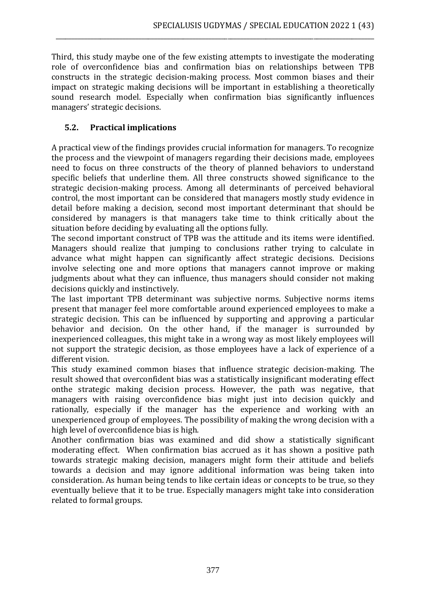Third, this study maybe one of the few existing attempts to investigate the moderating role of overconfidence bias and confirmation bias on relationships between TPB constructs in the strategic decision-making process. Most common biases and their impact on strategic making decisions will be important in establishing a theoretically sound research model. Especially when confirmation bias significantly influences managers' strategic decisions.

\_\_\_\_\_\_\_\_\_\_\_\_\_\_\_\_\_\_\_\_\_\_\_\_\_\_\_\_\_\_\_\_\_\_\_\_\_\_\_\_\_\_\_\_\_\_\_\_\_\_\_\_\_\_\_\_\_\_\_\_\_\_\_\_\_\_\_\_\_\_\_\_\_\_\_\_\_\_\_\_\_\_\_\_\_\_\_\_\_\_\_\_\_\_\_\_\_\_\_\_

# **5.2. Practical implications**

A practical view of the findings provides crucial information for managers. To recognize the process and the viewpoint of managers regarding their decisions made, employees need to focus on three constructs of the theory of planned behaviors to understand specific beliefs that underline them. All three constructs showed significance to the strategic decision-making process. Among all determinants of perceived behavioral control, the most important can be considered that managers mostly study evidence in detail before making a decision, second most important determinant that should be considered by managers is that managers take time to think critically about the situation before deciding by evaluating all the options fully.

The second important construct of TPB was the attitude and its items were identified. Managers should realize that jumping to conclusions rather trying to calculate in advance what might happen can significantly affect strategic decisions. Decisions involve selecting one and more options that managers cannot improve or making judgments about what they can influence, thus managers should consider not making decisions quickly and instinctively.

The last important TPB determinant was subjective norms. Subjective norms items present that manager feel more comfortable around experienced employees to make a strategic decision. This can be influenced by supporting and approving a particular behavior and decision. On the other hand, if the manager is surrounded by inexperienced colleagues, this might take in a wrong way as most likely employees will not support the strategic decision, as those employees have a lack of experience of a different vision.

This study examined common biases that influence strategic decision-making. The result showed that overconfident bias was a statistically insignificant moderating effect onthe strategic making decision process. However, the path was negative, that managers with raising overconfidence bias might just into decision quickly and rationally, especially if the manager has the experience and working with an unexperienced group of employees. The possibility of making the wrong decision with a high level of overconfidence bias is high.

Another confirmation bias was examined and did show a statistically significant moderating effect. When confirmation bias accrued as it has shown a positive path towards strategic making decision, managers might form their attitude and beliefs towards a decision and may ignore additional information was being taken into consideration. As human being tends to like certain ideas or concepts to be true, so they eventually believe that it to be true. Especially managers might take into consideration related to formal groups.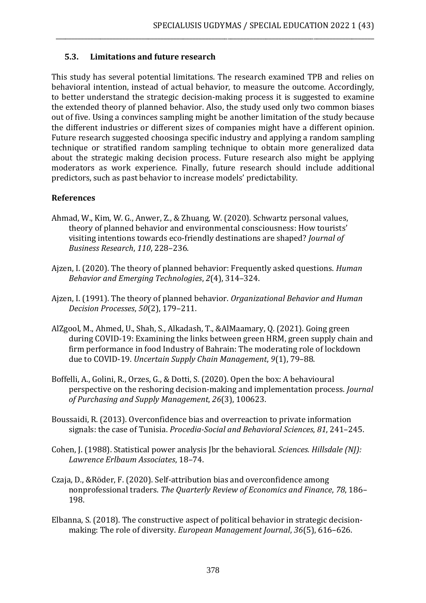#### **5.3. Limitations and future research**

This study has several potential limitations. The research examined TPB and relies on behavioral intention, instead of actual behavior, to measure the outcome. Accordingly, to better understand the strategic decision-making process it is suggested to examine the extended theory of planned behavior. Also, the study used only two common biases out of five. Using a convinces sampling might be another limitation of the study because the different industries or different sizes of companies might have a different opinion. Future research suggested choosinga specific industry and applying a random sampling technique or stratified random sampling technique to obtain more generalized data about the strategic making decision process. Future research also might be applying moderators as work experience. Finally, future research should include additional predictors, such as past behavior to increase models' predictability.

\_\_\_\_\_\_\_\_\_\_\_\_\_\_\_\_\_\_\_\_\_\_\_\_\_\_\_\_\_\_\_\_\_\_\_\_\_\_\_\_\_\_\_\_\_\_\_\_\_\_\_\_\_\_\_\_\_\_\_\_\_\_\_\_\_\_\_\_\_\_\_\_\_\_\_\_\_\_\_\_\_\_\_\_\_\_\_\_\_\_\_\_\_\_\_\_\_\_\_\_

#### **References**

- Ahmad, W., Kim, W. G., Anwer, Z., & Zhuang, W. (2020). Schwartz personal values, theory of planned behavior and environmental consciousness: How tourists' visiting intentions towards eco-friendly destinations are shaped? *Journal of Business Research*, *110*, 228–236.
- Ajzen, I. (2020). The theory of planned behavior: Frequently asked questions. *Human Behavior and Emerging Technologies*, *2*(4), 314–324.
- Ajzen, I. (1991). The theory of planned behavior. *Organizational Behavior and Human Decision Processes*, *50*(2), 179–211.
- AlZgool, M., Ahmed, U., Shah, S., Alkadash, T., &AlMaamary, Q. (2021). Going green during COVID-19: Examining the links between green HRM, green supply chain and firm performance in food Industry of Bahrain: The moderating role of lockdown due to COVID-19. *Uncertain Supply Chain Management*, *9*(1), 79–88.
- Boffelli, A., Golini, R., Orzes, G., & Dotti, S. (2020). Open the box: A behavioural perspective on the reshoring decision-making and implementation process. *Journal of Purchasing and Supply Management*, *26*(3), 100623.
- Boussaidi, R. (2013). Overconfidence bias and overreaction to private information signals: the case of Tunisia. *Procedia-Social and Behavioral Sciences*, *81*, 241–245.
- Cohen, J. (1988). Statistical power analysis Jbr the behavioral. *Sciences. Hillsdale (NJ): Lawrence Erlbaum Associates*, 18–74.
- Czaja, D., &Röder, F. (2020). Self-attribution bias and overconfidence among nonprofessional traders. *The Quarterly Review of Economics and Finance*, *78*, 186– 198.
- Elbanna, S. (2018). The constructive aspect of political behavior in strategic decisionmaking: The role of diversity. *European Management Journal*, *36*(5), 616–626.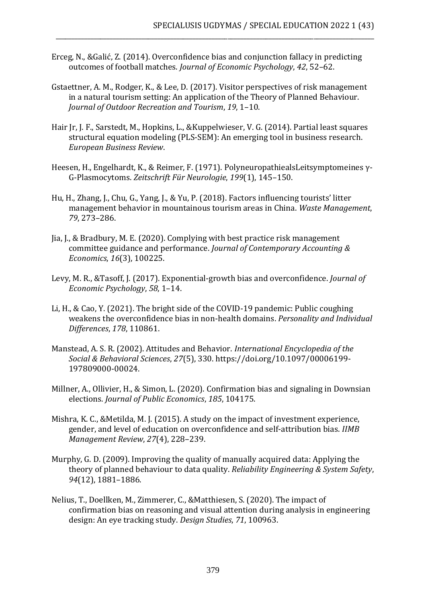Erceg, N., &Galić, Z. (2014). Overconfidence bias and conjunction fallacy in predicting outcomes of football matches. *Journal of Economic Psychology*, *42*, 52–62.

\_\_\_\_\_\_\_\_\_\_\_\_\_\_\_\_\_\_\_\_\_\_\_\_\_\_\_\_\_\_\_\_\_\_\_\_\_\_\_\_\_\_\_\_\_\_\_\_\_\_\_\_\_\_\_\_\_\_\_\_\_\_\_\_\_\_\_\_\_\_\_\_\_\_\_\_\_\_\_\_\_\_\_\_\_\_\_\_\_\_\_\_\_\_\_\_\_\_\_\_

- Gstaettner, A. M., Rodger, K., & Lee, D. (2017). Visitor perspectives of risk management in a natural tourism setting: An application of the Theory of Planned Behaviour. *Journal of Outdoor Recreation and Tourism*, *19*, 1–10.
- Hair Jr, J. F., Sarstedt, M., Hopkins, L., &Kuppelwieser, V. G. (2014). Partial least squares structural equation modeling (PLS-SEM): An emerging tool in business research. *European Business Review*.
- Heesen, H., Engelhardt, K., & Reimer, F. (1971). PolyneuropathiealsLeitsymptomeines γ-G-Plasmocytoms. *Zeitschrift Für Neurologie*, *199*(1), 145–150.
- Hu, H., Zhang, J., Chu, G., Yang, J., & Yu, P. (2018). Factors influencing tourists' litter management behavior in mountainous tourism areas in China. *Waste Management*, *79*, 273–286.
- Jia, J., & Bradbury, M. E. (2020). Complying with best practice risk management committee guidance and performance. *Journal of Contemporary Accounting & Economics*, *16*(3), 100225.
- Levy, M. R., &Tasoff, J. (2017). Exponential-growth bias and overconfidence. *Journal of Economic Psychology*, *58*, 1–14.
- Li, H., & Cao, Y. (2021). The bright side of the COVID-19 pandemic: Public coughing weakens the overconfidence bias in non-health domains. *Personality and Individual Differences*, *178*, 110861.
- Manstead, A. S. R. (2002). Attitudes and Behavior. *International Encyclopedia of the Social & Behavioral Sciences*, *27*(5), 330. https://doi.org/10.1097/00006199- 197809000-00024.
- Millner, A., Ollivier, H., & Simon, L. (2020). Confirmation bias and signaling in Downsian elections. *Journal of Public Economics*, *185*, 104175.
- Mishra, K. C., &Metilda, M. J. (2015). A study on the impact of investment experience, gender, and level of education on overconfidence and self-attribution bias. *IIMB Management Review*, *27*(4), 228–239.
- Murphy, G. D. (2009). Improving the quality of manually acquired data: Applying the theory of planned behaviour to data quality. *Reliability Engineering & System Safety*, *94*(12), 1881–1886.
- Nelius, T., Doellken, M., Zimmerer, C., &Matthiesen, S. (2020). The impact of confirmation bias on reasoning and visual attention during analysis in engineering design: An eye tracking study. *Design Studies*, *71*, 100963.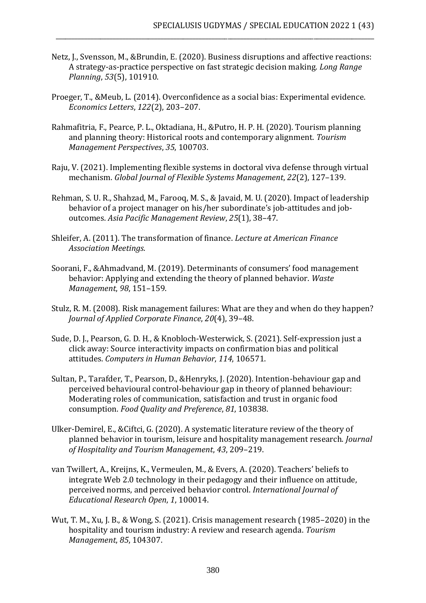Netz, J., Svensson, M., &Brundin, E. (2020). Business disruptions and affective reactions: A strategy-as-practice perspective on fast strategic decision making. *Long Range Planning*, *53*(5), 101910.

\_\_\_\_\_\_\_\_\_\_\_\_\_\_\_\_\_\_\_\_\_\_\_\_\_\_\_\_\_\_\_\_\_\_\_\_\_\_\_\_\_\_\_\_\_\_\_\_\_\_\_\_\_\_\_\_\_\_\_\_\_\_\_\_\_\_\_\_\_\_\_\_\_\_\_\_\_\_\_\_\_\_\_\_\_\_\_\_\_\_\_\_\_\_\_\_\_\_\_\_

- Proeger, T., &Meub, L. (2014). Overconfidence as a social bias: Experimental evidence. *Economics Letters*, *122*(2), 203–207.
- Rahmafitria, F., Pearce, P. L., Oktadiana, H., &Putro, H. P. H. (2020). Tourism planning and planning theory: Historical roots and contemporary alignment. *Tourism Management Perspectives*, *35*, 100703.
- Raju, V. (2021). Implementing flexible systems in doctoral viva defense through virtual mechanism. *Global Journal of Flexible Systems Management*, *22*(2), 127–139.
- Rehman, S. U. R., Shahzad, M., Farooq, M. S., & Javaid, M. U. (2020). Impact of leadership behavior of a project manager on his/her subordinate's job-attitudes and joboutcomes. *Asia Pacific Management Review*, *25*(1), 38–47.
- Shleifer, A. (2011). The transformation of finance. *Lecture at American Finance Association Meetings*.
- Soorani, F., &Ahmadvand, M. (2019). Determinants of consumers' food management behavior: Applying and extending the theory of planned behavior. *Waste Management*, *98*, 151–159.
- Stulz, R. M. (2008). Risk management failures: What are they and when do they happen? *Journal of Applied Corporate Finance*, *20*(4), 39–48.
- Sude, D. J., Pearson, G. D. H., & Knobloch-Westerwick, S. (2021). Self-expression just a click away: Source interactivity impacts on confirmation bias and political attitudes. *Computers in Human Behavior*, *114*, 106571.
- Sultan, P., Tarafder, T., Pearson, D., &Henryks, J. (2020). Intention-behaviour gap and perceived behavioural control-behaviour gap in theory of planned behaviour: Moderating roles of communication, satisfaction and trust in organic food consumption. *Food Quality and Preference*, *81*, 103838.
- Ulker-Demirel, E., &Ciftci, G. (2020). A systematic literature review of the theory of planned behavior in tourism, leisure and hospitality management research. *Journal of Hospitality and Tourism Management*, *43*, 209–219.
- van Twillert, A., Kreijns, K., Vermeulen, M., & Evers, A. (2020). Teachers' beliefs to integrate Web 2.0 technology in their pedagogy and their influence on attitude, perceived norms, and perceived behavior control. *International Journal of Educational Research Open*, *1*, 100014.
- Wut, T. M., Xu, J. B., & Wong, S. (2021). Crisis management research (1985–2020) in the hospitality and tourism industry: A review and research agenda. *Tourism Management*, *85*, 104307.